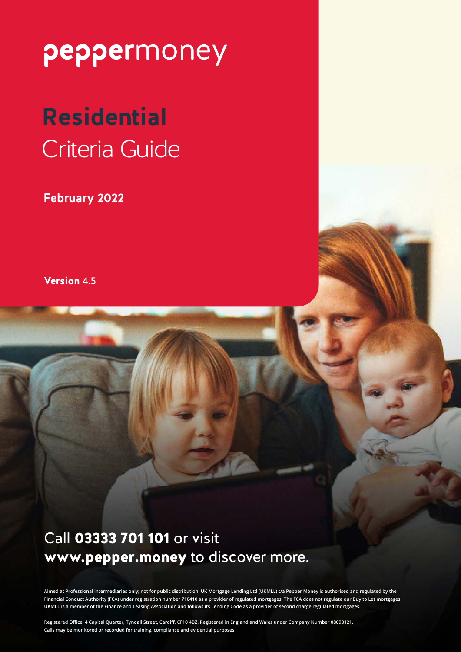# **Residential** Criteria Guide

**February 2022**

Version 4.5

### Call 03333 701 101 or visit www.pepper.money to discover more.

**Aimed at Professional intermediaries only; not for public distribution. UK Mortgage Lending Ltd (UKMLL) t/a Pepper Money is authorised and regulated by the Financial Conduct Authority (FCA) under registration number 710410 as a provider of regulated mortgages. The FCA does not regulate our Buy to Let mortgages. UKMLL is a member of the Finance and Leasing Association and follows its Lending Code as a provider of second charge regulated mortgages.**

**Registered Office: 4 Capital Quarter, Tyndall Street, Cardiff, CF10 4BZ. Registered in England and Wales under Company Number 08698121. Calls may be monitored or recorded for training, compliance and evidential purposes.**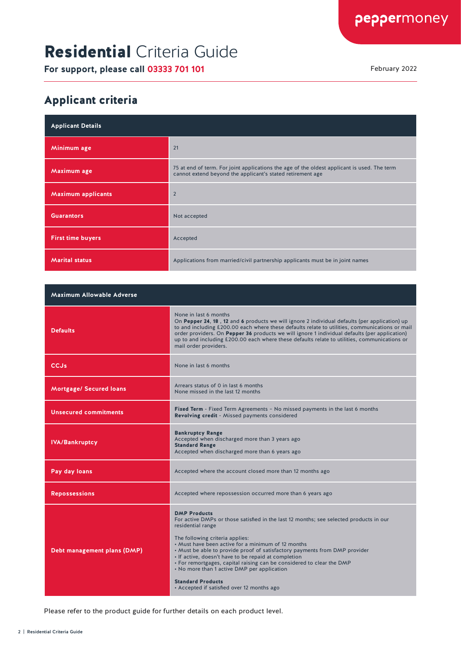# Residential Criteria Guide

**For support, please call 03333 701 101** February 2022

#### Applicant criteria

| <b>Applicant Details</b>  |                                                                                                                                                           |
|---------------------------|-----------------------------------------------------------------------------------------------------------------------------------------------------------|
| Minimum age               | 21                                                                                                                                                        |
| Maximum age               | 75 at end of term. For joint applications the age of the oldest applicant is used. The term<br>cannot extend beyond the applicant's stated retirement age |
| <b>Maximum applicants</b> | $\overline{2}$                                                                                                                                            |
| <b>Guarantors</b>         | Not accepted                                                                                                                                              |
| <b>First time buyers</b>  | Accepted                                                                                                                                                  |
| <b>Marital status</b>     | Applications from married/civil partnership applicants must be in joint names                                                                             |

| <b>Maximum Allowable Adverse</b> |                                                                                                                                                                                                                                                                                                                                                                                                                                                                                                                                                                     |
|----------------------------------|---------------------------------------------------------------------------------------------------------------------------------------------------------------------------------------------------------------------------------------------------------------------------------------------------------------------------------------------------------------------------------------------------------------------------------------------------------------------------------------------------------------------------------------------------------------------|
| <b>Defaults</b>                  | None in last 6 months<br>On Pepper 24, 18, 12 and 6 products we will ignore 2 individual defaults (per application) up<br>to and including £200.00 each where these defaults relate to utilities, communications or mail<br>order providers. On Pepper 36 products we will ignore 1 individual defaults (per application)<br>up to and including £200.00 each where these defaults relate to utilities, communications or<br>mail order providers.                                                                                                                  |
| CCJs                             | None in last 6 months                                                                                                                                                                                                                                                                                                                                                                                                                                                                                                                                               |
| <b>Mortgage/ Secured loans</b>   | Arrears status of 0 in last 6 months<br>None missed in the last 12 months                                                                                                                                                                                                                                                                                                                                                                                                                                                                                           |
| <b>Unsecured commitments</b>     | <b>Fixed Term</b> - Fixed Term Agreements - No missed payments in the last 6 months<br><b>Revolving credit</b> - Missed payments considered                                                                                                                                                                                                                                                                                                                                                                                                                         |
| <b>IVA/Bankruptcy</b>            | <b>Bankruptcy Range</b><br>Accepted when discharged more than 3 years ago<br><b>Standard Range</b><br>Accepted when discharged more than 6 years ago                                                                                                                                                                                                                                                                                                                                                                                                                |
| Pay day loans                    | Accepted where the account closed more than 12 months ago                                                                                                                                                                                                                                                                                                                                                                                                                                                                                                           |
| <b>Repossessions</b>             | Accepted where repossession occurred more than 6 years ago                                                                                                                                                                                                                                                                                                                                                                                                                                                                                                          |
| Debt management plans (DMP)      | <b>DMP Products</b><br>For active DMPs or those satisfied in the last 12 months; see selected products in our<br>residential range<br>The following criteria applies:<br>• Must have been active for a minimum of 12 months<br>. Must be able to provide proof of satisfactory payments from DMP provider<br>· If active, doesn't have to be repaid at completion<br>• For remortgages, capital raising can be considered to clear the DMP<br>• No more than 1 active DMP per application<br><b>Standard Products</b><br>• Accepted if satisfied over 12 months ago |

Please refer to the product guide for further details on each product level.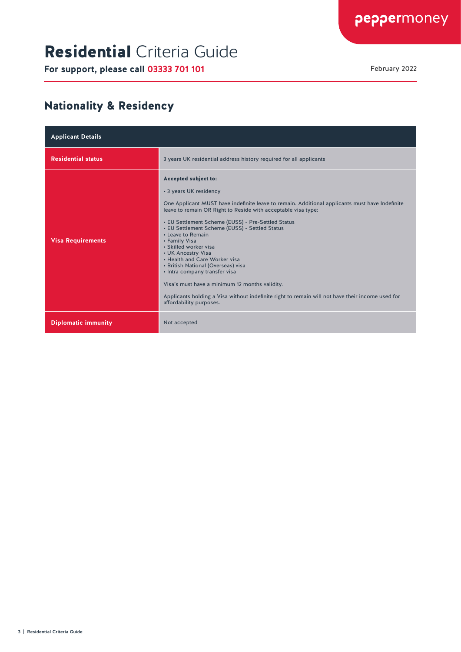# Residential Criteria Guide

**For support, please call 03333 701 101** February 2022

#### Nationality & Residency

| <b>Applicant Details</b>   |                                                                                                                                                                                                                                                                                                                                                                                                                                                                                                                                                                                                                                                                                                         |
|----------------------------|---------------------------------------------------------------------------------------------------------------------------------------------------------------------------------------------------------------------------------------------------------------------------------------------------------------------------------------------------------------------------------------------------------------------------------------------------------------------------------------------------------------------------------------------------------------------------------------------------------------------------------------------------------------------------------------------------------|
| <b>Residential status</b>  | 3 years UK residential address history required for all applicants                                                                                                                                                                                                                                                                                                                                                                                                                                                                                                                                                                                                                                      |
| <b>Visa Requirements</b>   | Accepted subject to:<br>• 3 years UK residency<br>One Applicant MUST have indefinite leave to remain. Additional applicants must have Indefinite<br>leave to remain OR Right to Reside with acceptable visa type:<br>• EU Settlement Scheme (EUSS) - Pre-Settled Status<br>• EU Settlement Scheme (EUSS) - Settled Status<br>• Leave to Remain<br>• Family Visa<br>• Skilled worker visa<br>• UK Ancestry Visa<br>• Health and Care Worker visa<br>• British National (Overseas) visa<br>• Intra company transfer visa<br>Visa's must have a minimum 12 months validity.<br>Applicants holding a Visa without indefinite right to remain will not have their income used for<br>affordability purposes. |
| <b>Diplomatic immunity</b> | Not accepted                                                                                                                                                                                                                                                                                                                                                                                                                                                                                                                                                                                                                                                                                            |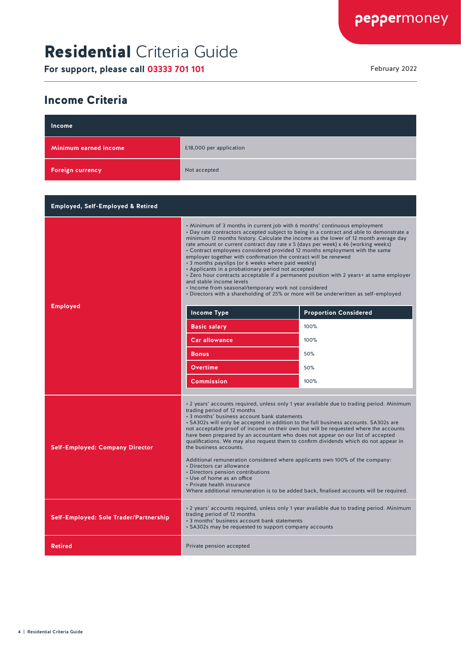# Residential Criteria Guide

**For support, please call 03333 701 101** February 2022

#### Income Criteria

| Income                                       |                                                                                                                                                                                                                                                                                                                                                                                                                                                                                                                                                                                                                                                                                                                                                                                                                                                                                         |                                                                                                                                                       |
|----------------------------------------------|-----------------------------------------------------------------------------------------------------------------------------------------------------------------------------------------------------------------------------------------------------------------------------------------------------------------------------------------------------------------------------------------------------------------------------------------------------------------------------------------------------------------------------------------------------------------------------------------------------------------------------------------------------------------------------------------------------------------------------------------------------------------------------------------------------------------------------------------------------------------------------------------|-------------------------------------------------------------------------------------------------------------------------------------------------------|
| Minimum earned income                        | £18,000 per application                                                                                                                                                                                                                                                                                                                                                                                                                                                                                                                                                                                                                                                                                                                                                                                                                                                                 |                                                                                                                                                       |
| <b>Foreign currency</b>                      | Not accepted                                                                                                                                                                                                                                                                                                                                                                                                                                                                                                                                                                                                                                                                                                                                                                                                                                                                            |                                                                                                                                                       |
|                                              |                                                                                                                                                                                                                                                                                                                                                                                                                                                                                                                                                                                                                                                                                                                                                                                                                                                                                         |                                                                                                                                                       |
| <b>Employed, Self-Employed &amp; Retired</b> |                                                                                                                                                                                                                                                                                                                                                                                                                                                                                                                                                                                                                                                                                                                                                                                                                                                                                         |                                                                                                                                                       |
| <b>Employed</b>                              | • Minimum of 3 months in current job with 6 months' continuous employment<br>• Day rate contractors accepted subject to being in a contract and able to demonstrate a<br>minimum 12 months history. Calculate the income as the lower of 12 month average day<br>rate amount or current contract day rate x 5 (days per week) x 46 (working weeks)<br>• Contract employees considered provided 12 months employment with the same<br>employer together with confirmation the contract will be renewed<br>• 3 months payslips (or 6 weeks where paid weekly)<br>• Applicants in a probationary period not accepted<br>and stable income levels<br>• Income from seasonal/temporary work not considered<br>• Directors with a shareholding of 25% or more will be underwritten as self-employed<br>Income Type<br><b>Basic salary</b><br><b>Car allowance</b><br><b>Bonus</b><br>Overtime | • Zero hour contracts acceptable if a permanent position with 2 years+ at same employer<br><b>Proportion Considered</b><br>100%<br>100%<br>50%<br>50% |
|                                              | Commission                                                                                                                                                                                                                                                                                                                                                                                                                                                                                                                                                                                                                                                                                                                                                                                                                                                                              | 100%                                                                                                                                                  |
| <b>Self-Employed: Company Director</b>       | trading period of 12 months<br>• 3 months' business account bank statements<br>. SA302s will only be accepted in addition to the full business accounts. SA302s are<br>not acceptable proof of income on their own but will be requested where the accounts<br>have been prepared by an accountant who does not appear on our list of accepted<br>qualifications. We may also request them to confirm dividends which do not appear in<br>the business accounts.<br>Additional remuneration considered where applicants own 100% of the company:<br>• Directors car allowance<br>• Directors pension contributions<br>• Use of home as an office<br>• Private health insurance<br>Where additional remuneration is to be added back, finalised accounts will be required.                                                                                                               | • 2 years' accounts required, unless only 1 year available due to trading period. Minimum                                                             |
| Self-Employed: Sole Trader/Partnership       | . 2 years' accounts required, unless only 1 year available due to trading period. Minimum<br>trading period of 12 months<br>• 3 months' business account bank statements<br>• SA302s may be requested to support company accounts                                                                                                                                                                                                                                                                                                                                                                                                                                                                                                                                                                                                                                                       |                                                                                                                                                       |
| <b>Retired</b>                               | Private pension accepted                                                                                                                                                                                                                                                                                                                                                                                                                                                                                                                                                                                                                                                                                                                                                                                                                                                                |                                                                                                                                                       |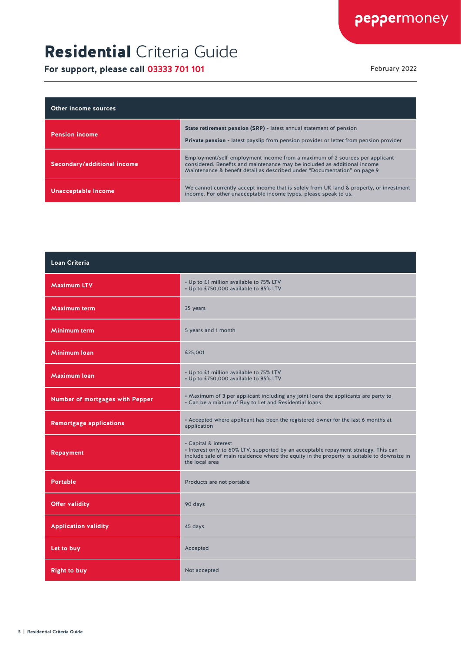# Residential Criteria Guide

| Other income sources        |                                                                                                                                                                                                                                       |
|-----------------------------|---------------------------------------------------------------------------------------------------------------------------------------------------------------------------------------------------------------------------------------|
| <b>Pension income</b>       | <b>State retirement pension (SRP)</b> - latest annual statement of pension<br><b>Private pension</b> - latest payslip from pension provider or letter from pension provider                                                           |
| Secondary/additional income | Employment/self-employment income from a maximum of 2 sources per applicant<br>considered. Benefits and maintenance may be included as additional income<br>Maintenance & benefit detail as described under "Documentation" on page 9 |
| <b>Unacceptable Income</b>  | We cannot currently accept income that is solely from UK land & property, or investment<br>income. For other unacceptable income types, please speak to us.                                                                           |

| Loan Criteria                   |                                                                                                                                                                                                                             |
|---------------------------------|-----------------------------------------------------------------------------------------------------------------------------------------------------------------------------------------------------------------------------|
| <b>Maximum LTV</b>              | • Up to £1 million available to 75% LTV<br>• Up to £750,000 available to 85% LTV                                                                                                                                            |
| <b>Maximum term</b>             | 35 years                                                                                                                                                                                                                    |
| Minimum term                    | 5 years and 1 month                                                                                                                                                                                                         |
| Minimum Ioan                    | £25,001                                                                                                                                                                                                                     |
| <b>Maximum loan</b>             | • Up to £1 million available to 75% LTV<br>• Up to £750,000 available to 85% LTV                                                                                                                                            |
| Number of mortgages with Pepper | . Maximum of 3 per applicant including any joint loans the applicants are party to<br>• Can be a mixture of Buy to Let and Residential loans                                                                                |
| <b>Remortgage applications</b>  | • Accepted where applicant has been the registered owner for the last 6 months at<br>application                                                                                                                            |
| <b>Repayment</b>                | • Capital & interest<br>. Interest only to 60% LTV, supported by an acceptable repayment strategy. This can<br>include sale of main residence where the equity in the property is suitable to downsize in<br>the local area |
| <b>Portable</b>                 | Products are not portable                                                                                                                                                                                                   |
| <b>Offer validity</b>           | 90 days                                                                                                                                                                                                                     |
| <b>Application validity</b>     | 45 days                                                                                                                                                                                                                     |
| Let to buy                      | Accepted                                                                                                                                                                                                                    |
| <b>Right to buy</b>             | Not accepted                                                                                                                                                                                                                |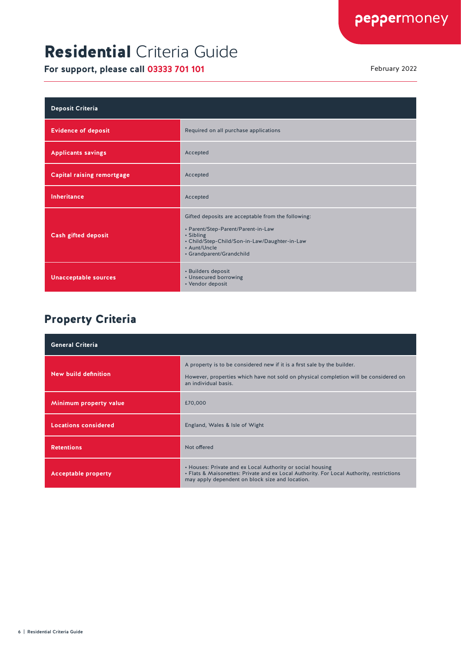# Residential Criteria Guide

**For support, please call 03333 701 101** February 2022

| <b>Deposit Criteria</b>           |                                                                                                                                                                                                    |
|-----------------------------------|----------------------------------------------------------------------------------------------------------------------------------------------------------------------------------------------------|
| <b>Evidence of deposit</b>        | Required on all purchase applications                                                                                                                                                              |
| <b>Applicants savings</b>         | Accepted                                                                                                                                                                                           |
| <b>Capital raising remortgage</b> | Accepted                                                                                                                                                                                           |
| <b>Inheritance</b>                | Accepted                                                                                                                                                                                           |
| <b>Cash gifted deposit</b>        | Gifted deposits are acceptable from the following:<br>• Parent/Step-Parent/Parent-in-Law<br>• Sibling<br>• Child/Step-Child/Son-in-Law/Daughter-in-Law<br>• Aunt/Uncle<br>• Grandparent/Grandchild |
| <b>Unacceptable sources</b>       | • Builders deposit<br>• Unsecured borrowing<br>• Vendor deposit                                                                                                                                    |

#### Property Criteria

| <b>General Criteria</b>     |                                                                                                                                                                                                           |
|-----------------------------|-----------------------------------------------------------------------------------------------------------------------------------------------------------------------------------------------------------|
| New build definition        | A property is to be considered new if it is a first sale by the builder.<br>However, properties which have not sold on physical completion will be considered on<br>an individual basis.                  |
| Minimum property value      | £70,000                                                                                                                                                                                                   |
| <b>Locations considered</b> | England, Wales & Isle of Wight                                                                                                                                                                            |
| <b>Retentions</b>           | Not offered                                                                                                                                                                                               |
| <b>Acceptable property</b>  | • Houses: Private and ex Local Authority or social housing<br>. Flats & Maisonettes: Private and ex Local Authority. For Local Authority, restrictions<br>may apply dependent on block size and location. |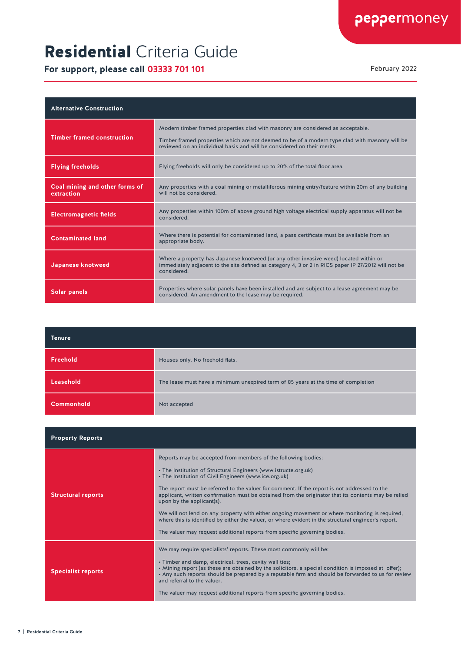# Residential Criteria Guide

| <b>Alternative Construction</b>              |                                                                                                                                                                                                                                                              |
|----------------------------------------------|--------------------------------------------------------------------------------------------------------------------------------------------------------------------------------------------------------------------------------------------------------------|
| <b>Timber framed construction</b>            | Modern timber framed properties clad with masonry are considered as acceptable.<br>Timber framed properties which are not deemed to be of a modern type clad with masonry will be<br>reviewed on an individual basis and will be considered on their merits. |
| <b>Flying freeholds</b>                      | Flying freeholds will only be considered up to 20% of the total floor area.                                                                                                                                                                                  |
| Coal mining and other forms of<br>extraction | Any properties with a coal mining or metalliferous mining entry/feature within 20m of any building<br>will not be considered.                                                                                                                                |
| <b>Electromagnetic fields</b>                | Any properties within 100m of above ground high voltage electrical supply apparatus will not be<br>considered.                                                                                                                                               |
| <b>Contaminated land</b>                     | Where there is potential for contaminated land, a pass certificate must be available from an<br>appropriate body.                                                                                                                                            |
| Japanese knotweed                            | Where a property has Japanese knotweed (or any other invasive weed) located within or<br>immediately adjacent to the site defined as category 4, 3 or 2 in RICS paper IP 27/2012 will not be<br>considered.                                                  |
| <b>Solar panels</b>                          | Properties where solar panels have been installed and are subject to a lease agreement may be<br>considered. An amendment to the lease may be required.                                                                                                      |

| Tenure            |                                                                                    |
|-------------------|------------------------------------------------------------------------------------|
| Freehold          | Houses only. No freehold flats.                                                    |
| Leasehold         | The lease must have a minimum unexpired term of 85 years at the time of completion |
| <b>Commonhold</b> | Not accepted                                                                       |

| <b>Property Reports</b>   |                                                                                                                                                                                                                                                                                                                                                                                                                                                                                                                                                                                                                                                                                                                       |
|---------------------------|-----------------------------------------------------------------------------------------------------------------------------------------------------------------------------------------------------------------------------------------------------------------------------------------------------------------------------------------------------------------------------------------------------------------------------------------------------------------------------------------------------------------------------------------------------------------------------------------------------------------------------------------------------------------------------------------------------------------------|
| <b>Structural reports</b> | Reports may be accepted from members of the following bodies:<br>• The Institution of Structural Engineers (www.istructe.org.uk)<br>• The Institution of Civil Engineers (www.ice.org.uk)<br>The report must be referred to the valuer for comment. If the report is not addressed to the<br>applicant, written confirmation must be obtained from the originator that its contents may be relied<br>upon by the applicant(s).<br>We will not lend on any property with either ongoing movement or where monitoring is required,<br>where this is identified by either the valuer, or where evident in the structural engineer's report.<br>The valuer may request additional reports from specific governing bodies. |
| <b>Specialist reports</b> | We may require specialists' reports. These most commonly will be:<br>. Timber and damp, electrical, trees, cavity wall ties;<br>. Mining report (as these are obtained by the solicitors, a special condition is imposed at offer);<br>• Any such reports should be prepared by a reputable firm and should be forwarded to us for review<br>and referral to the valuer.<br>The valuer may request additional reports from specific governing bodies.                                                                                                                                                                                                                                                                 |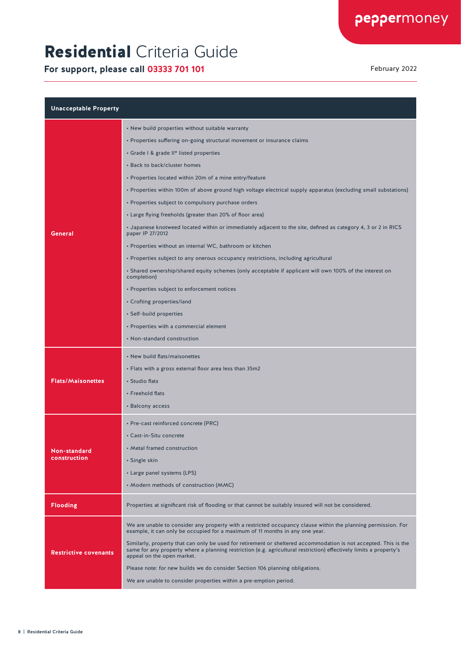# Residential Criteria Guide

| <b>Unacceptable Property</b> |                                                                                                                                                                                                                                                                      |
|------------------------------|----------------------------------------------------------------------------------------------------------------------------------------------------------------------------------------------------------------------------------------------------------------------|
|                              | • New build properties without suitable warranty                                                                                                                                                                                                                     |
|                              | • Properties suffering on-going structural movement or insurance claims                                                                                                                                                                                              |
|                              | • Grade I & grade II* listed properties                                                                                                                                                                                                                              |
|                              | • Back to back/cluster homes                                                                                                                                                                                                                                         |
|                              | • Properties located within 20m of a mine entry/feature                                                                                                                                                                                                              |
|                              | • Properties within 100m of above ground high voltage electrical supply apparatus (excluding small substations)                                                                                                                                                      |
|                              | • Properties subject to compulsory purchase orders                                                                                                                                                                                                                   |
|                              | • Large flying freeholds (greater than 20% of floor area)                                                                                                                                                                                                            |
| General                      | • Japanese knotweed located within or immediately adjacent to the site, defined as category 4, 3 or 2 in RICS<br>paper IP 27/2012                                                                                                                                    |
|                              | • Properties without an internal WC, bathroom or kitchen                                                                                                                                                                                                             |
|                              | • Properties subject to any onerous occupancy restrictions, including agricultural                                                                                                                                                                                   |
|                              | . Shared ownership/shared equity schemes (only acceptable if applicant will own 100% of the interest on<br>completion)                                                                                                                                               |
|                              | • Properties subject to enforcement notices                                                                                                                                                                                                                          |
|                              | • Crofting properties/land                                                                                                                                                                                                                                           |
|                              | • Self-build properties                                                                                                                                                                                                                                              |
|                              | • Properties with a commercial element                                                                                                                                                                                                                               |
|                              | • Non-standard construction                                                                                                                                                                                                                                          |
|                              | • New build flats/maisonettes                                                                                                                                                                                                                                        |
|                              | • Flats with a gross external floor area less than 35m2                                                                                                                                                                                                              |
| <b>Flats/Maisonettes</b>     | • Studio flats                                                                                                                                                                                                                                                       |
|                              | • Freehold flats                                                                                                                                                                                                                                                     |
|                              | • Balcony access                                                                                                                                                                                                                                                     |
|                              | • Pre-cast reinforced concrete (PRC)                                                                                                                                                                                                                                 |
|                              | • Cast-in-Situ concrete                                                                                                                                                                                                                                              |
| <b>Non-standard</b>          | • Metal framed construction                                                                                                                                                                                                                                          |
| construction                 | • Single skin                                                                                                                                                                                                                                                        |
|                              | • Large panel systems (LPS)                                                                                                                                                                                                                                          |
|                              | • Modern methods of construction (MMC)                                                                                                                                                                                                                               |
| <b>Flooding</b>              | Properties at significant risk of flooding or that cannot be suitably insured will not be considered.                                                                                                                                                                |
|                              | We are unable to consider any property with a restricted occupancy clause within the planning permission. For<br>example, it can only be occupied for a maximum of 11 months in any one year.                                                                        |
| <b>Restrictive covenants</b> | Similarly, property that can only be used for retirement or sheltered accommodation is not accepted. This is the<br>same for any property where a planning restriction (e.g. agricultural restriction) effectively limits a property's<br>appeal on the open market. |
|                              | Please note: for new builds we do consider Section 106 planning obligations.                                                                                                                                                                                         |
|                              | We are unable to consider properties within a pre-emption period.                                                                                                                                                                                                    |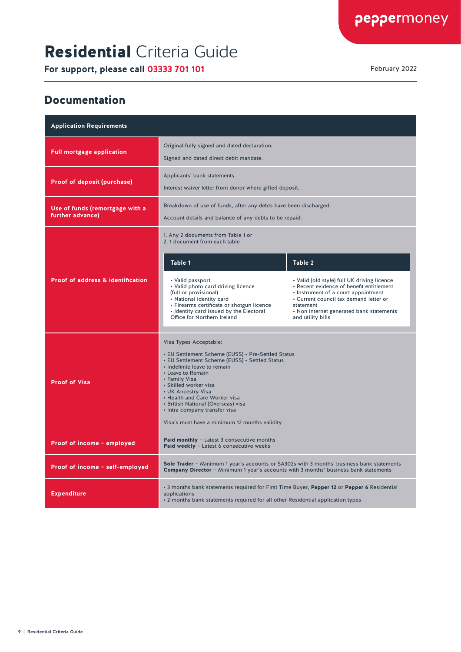# Residential Criteria Guide

**For support, please call 03333 701 101** February 2022

#### Documentation

| <b>Application Requirements</b>                     |                                                                                                                                                                                                                                                                                                                                                                                                              |                                                                                                                                                                                                                                                        |
|-----------------------------------------------------|--------------------------------------------------------------------------------------------------------------------------------------------------------------------------------------------------------------------------------------------------------------------------------------------------------------------------------------------------------------------------------------------------------------|--------------------------------------------------------------------------------------------------------------------------------------------------------------------------------------------------------------------------------------------------------|
| <b>Full mortgage application</b>                    | Original fully signed and dated declaration.<br>Signed and dated direct debit mandate.                                                                                                                                                                                                                                                                                                                       |                                                                                                                                                                                                                                                        |
| <b>Proof of deposit (purchase)</b>                  | Applicants' bank statements.<br>Interest waiver letter from donor where gifted deposit.                                                                                                                                                                                                                                                                                                                      |                                                                                                                                                                                                                                                        |
| Use of funds (remortgage with a<br>further advance) | Breakdown of use of funds, after any debts have been discharged.<br>Account details and balance of any debts to be repaid.                                                                                                                                                                                                                                                                                   |                                                                                                                                                                                                                                                        |
| <b>Proof of address &amp; identification</b>        | 1. Any 2 documents from Table 1 or<br>2. 1 document from each table                                                                                                                                                                                                                                                                                                                                          |                                                                                                                                                                                                                                                        |
|                                                     | Table 1                                                                                                                                                                                                                                                                                                                                                                                                      | Table 2                                                                                                                                                                                                                                                |
|                                                     | • Valid passport<br>• Valid photo card driving licence<br>(full or provisional)<br>• National identity card<br>· Firearms certificate or shotgun licence<br>• Identity card issued by the Electoral<br>Office for Northern Ireland                                                                                                                                                                           | • Valid (old style) full UK driving licence<br>· Recent evidence of benefit entitlement<br>• Instrument of a court appointment<br>• Current council tax demand letter or<br>statement<br>• Non internet generated bank statements<br>and utility bills |
| <b>Proof of Visa</b>                                | Visa Types Acceptable:<br>• EU Settlement Scheme (EUSS) - Pre-Settled Status<br>• EU Settlement Scheme (EUSS) - Settled Status<br>• Indefinite leave to remain<br>• Leave to Remain<br>• Family Visa<br>· Skilled worker visa<br>• UK Ancestry Visa<br>• Health and Care Worker visa<br>• British National (Overseas) visa<br>• Intra company transfer visa<br>Visa's must have a minimum 12 months validity |                                                                                                                                                                                                                                                        |
| Proof of income - employed                          | Paid monthly - Latest 3 consecutive months<br>Paid weekly - Latest 6 consecutive weeks                                                                                                                                                                                                                                                                                                                       |                                                                                                                                                                                                                                                        |
| Proof of income - self-employed                     | Sole Trader - Minimum 1 year's accounts or SA302s with 3 months' business bank statements<br>Company Director - Minimum 1 year's accounts with 3 months' business bank statements                                                                                                                                                                                                                            |                                                                                                                                                                                                                                                        |
| <b>Expenditure</b>                                  | . 3 months bank statements required for First Time Buyer, Pepper 12 or Pepper 6 Residential<br>applications<br>. 2 months bank statements required for all other Residential application types                                                                                                                                                                                                               |                                                                                                                                                                                                                                                        |